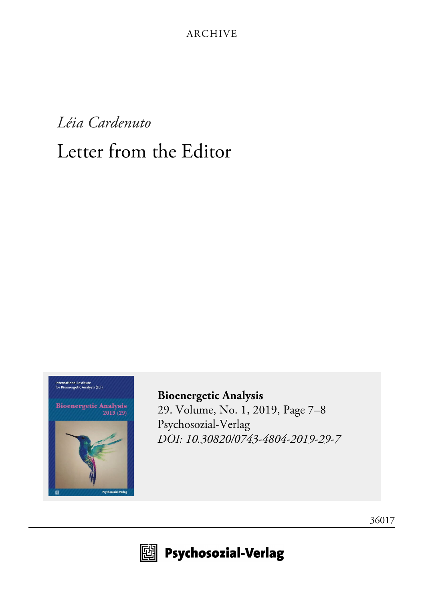# *Léia Cardenuto* Letter from the Editor



**Bioenergetic Analysis**<br>2019 (29)



**[Bioenergetic Analysis](http://www.psychosozial-verlag.de/8254)** [29. Volume, No. 1, 2019, Page 7–8](http://www.psychosozial-verlag.de/8254) [Psychosozial-Verlag](http://www.psychosozial-verlag.de/8254) *[DOI: 10.30820/0743-4804-2019-29-7](https://doi.org/10.30820/0743-4804-2019-29-7)*





**19 Psychosozial-Verlag**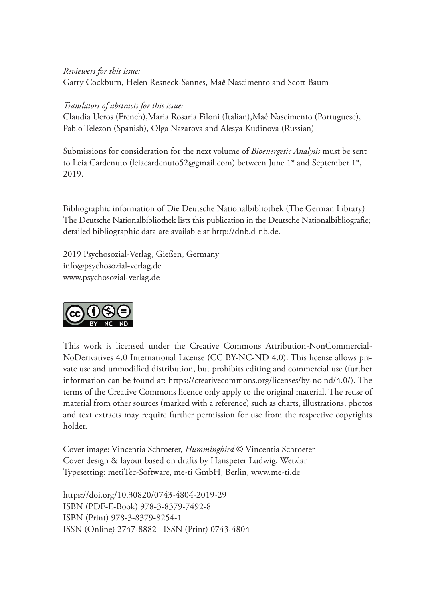### *Reviewers for this issue:* Garry Cockburn, Helen Resneck-Sannes, Maê Nascimento and Scott Baum

#### *Translators of abstracts for this issue:*

Claudia Ucros (French),Maria Rosaria Filoni (Italian),Maê Nascimento (Portuguese), Pablo Telezon (Spanish), Olga Nazarova and Alesya Kudinova (Russian)

Submissions for consideration for the next volume of *Bioenergetic Analysis* must be sent to Leia Cardenuto (leiacardenuto52@gmail.com) between June 1<sup>st</sup> and September 1<sup>st</sup>, 2019.

Bibliographic information of Die Deutsche Nationalbibliothek (The German Library) The Deutsche Nationalbibliothek lists this publication in the Deutsche Nationalbibliografie; detailed bibliographic data are available at http://dnb.d-nb.de.

2019 Psychosozial-Verlag, Gießen, Germany info@psychosozial-verlag.de www.psychosozial-verlag.de



This work is licensed under the Creative Commons Attribution-NonCommercial-NoDerivatives 4.0 International License (CC BY-NC-ND 4.0). This license allows private use and unmodified distribution, but prohibits editing and commercial use (further information can be found at: https://creativecommons.org/licenses/by-nc-nd/4.0/). The terms of the Creative Commons licence only apply to the original material. The reuse of material from other sources (marked with a reference) such as charts, illustrations, photos and text extracts may require further permission for use from the respective copyrights holder.

Cover image: Vincentia Schroeter, *Hummingbird* © Vincentia Schroeter Cover design & layout based on drafts by Hanspeter Ludwig, Wetzlar Typesetting: metiTec-Software, me-ti GmbH, Berlin, www.me-ti.de

https://doi.org/10.30820/0743-4804-2019-29 ISBN (PDF-E-Book) 978-3-8379-7492-8 ISBN (Print) 978-3-8379-8254-1 ISSN (Online) 2747-8882 · ISSN (Print) 0743-4804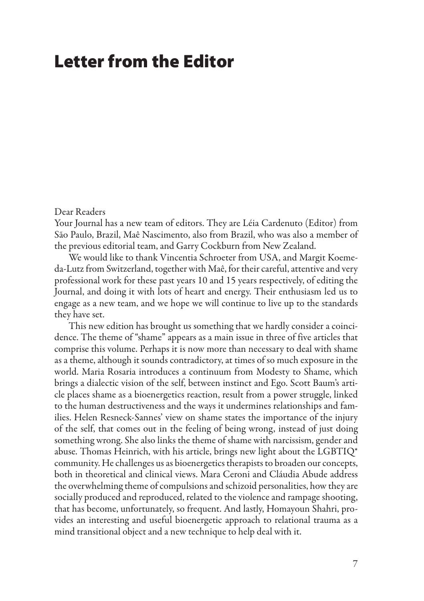## Letter from the Editor

#### Dear Readers

Your Journal has a new team of editors. They are Léia Cardenuto (Editor) from São Paulo, Brazil, Maê Nascimento, also from Brazil, who was also a member of the previous editorial team, and Garry Cockburn from New Zealand.

We would like to thank Vincentia Schroeter from USA, and Margit Koemeda-Lutz from Switzerland, together with Maê, for their careful, attentive and very professional work for these past years 10 and 15 years respectively, of editing the Journal, and doing it with lots of heart and energy. Their enthusiasm led us to engage as a new team, and we hope we will continue to live up to the standards they have set.

This new edition has brought us something that we hardly consider a coincidence. The theme of "shame" appears as a main issue in three of five articles that comprise this volume. Perhaps it is now more than necessary to deal with shame as a theme, although it sounds contradictory, at times of so much exposure in the world. Maria Rosaria introduces a continuum from Modesty to Shame, which brings a dialectic vision of the self, between instinct and Ego. Scott Baum's article places shame as a bioenergetics reaction, result from a power struggle, linked to the human destructiveness and the ways it undermines relationships and families. Helen Resneck-Sannes' view on shame states the importance of the injury of the self, that comes out in the feeling of being wrong, instead of just doing something wrong. She also links the theme of shame with narcissism, gender and abuse. Thomas Heinrich, with his article, brings new light about the LGBTIQ\* community. He challenges us as bioenergetics therapists to broaden our concepts, both in theoretical and clinical views. Mara Ceroni and Cláudia Abude address the overwhelming theme of compulsions and schizoid personalities, how they are socially produced and reproduced, related to the violence and rampage shooting, that has become, unfortunately, so frequent. And lastly, Homayoun Shahri, provides an interesting and useful bioenergetic approach to relational trauma as a mind transitional object and a new technique to help deal with it.